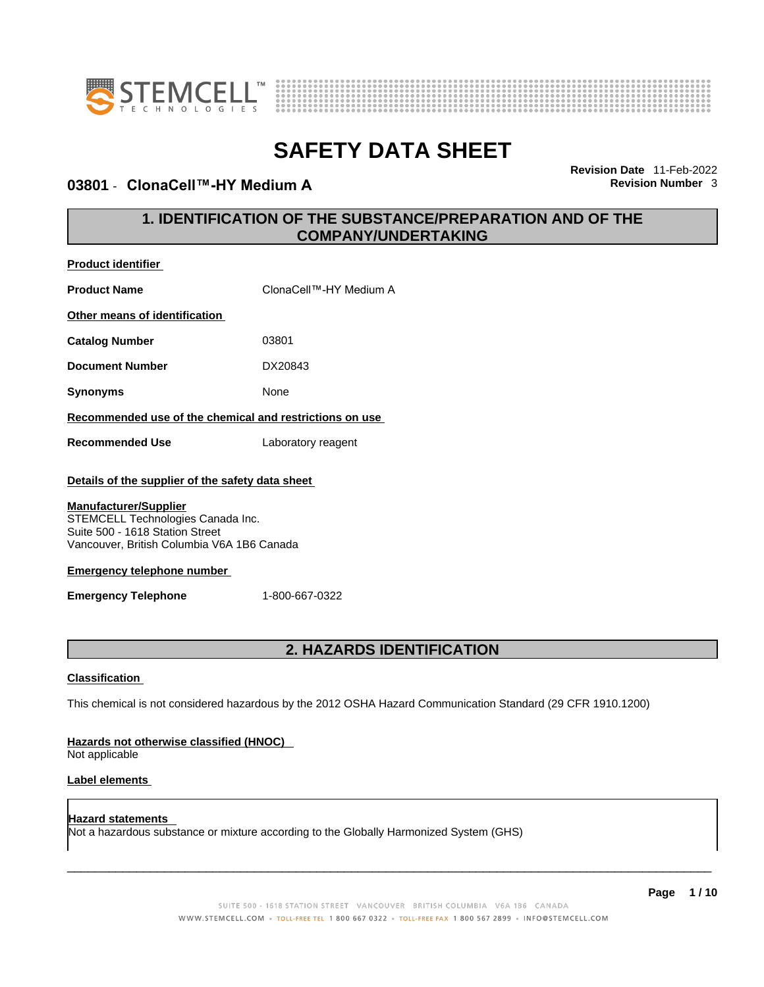

**Product identifier**



# **SAFETY DATA SHEET**

## **03801** - **ClonaCell™-HY Medium A Revision Number** 3

**Revision Date** 11-Feb-2022

# **1. IDENTIFICATION OF THE SUBSTANCE/PREPARATION AND OF THE COMPANY/UNDERTAKING**

| <b>Product Name</b>                                                                                                                                | ClonaCell™-HY Medium A                                                                                      |  |  |
|----------------------------------------------------------------------------------------------------------------------------------------------------|-------------------------------------------------------------------------------------------------------------|--|--|
| Other means of identification                                                                                                                      |                                                                                                             |  |  |
| <b>Catalog Number</b>                                                                                                                              | 03801                                                                                                       |  |  |
| <b>Document Number</b>                                                                                                                             | DX20843                                                                                                     |  |  |
| <b>Synonyms</b>                                                                                                                                    | None                                                                                                        |  |  |
| Recommended use of the chemical and restrictions on use                                                                                            |                                                                                                             |  |  |
| <b>Recommended Use</b>                                                                                                                             | Laboratory reagent                                                                                          |  |  |
|                                                                                                                                                    | Details of the supplier of the safety data sheet                                                            |  |  |
| <b>Manufacturer/Supplier</b><br>STEMCELL Technologies Canada Inc.<br>Suite 500 - 1618 Station Street<br>Vancouver, British Columbia V6A 1B6 Canada |                                                                                                             |  |  |
| <b>Emergency telephone number</b>                                                                                                                  |                                                                                                             |  |  |
| <b>Emergency Telephone</b>                                                                                                                         | 1-800-667-0322                                                                                              |  |  |
| <b>2. HAZARDS IDENTIFICATION</b>                                                                                                                   |                                                                                                             |  |  |
| <b>Classification</b>                                                                                                                              |                                                                                                             |  |  |
|                                                                                                                                                    | This chemical is not considered hazardous by the 2012 OSHA Hazard Communication Standard (29 CFR 1910.1200) |  |  |

### **Hazards not otherwise classified (HNOC)**

Not applicable

### **Label elements**

**Hazard statements**  Not a hazardous substance or mixture according to the Globally Harmonized System (GHS)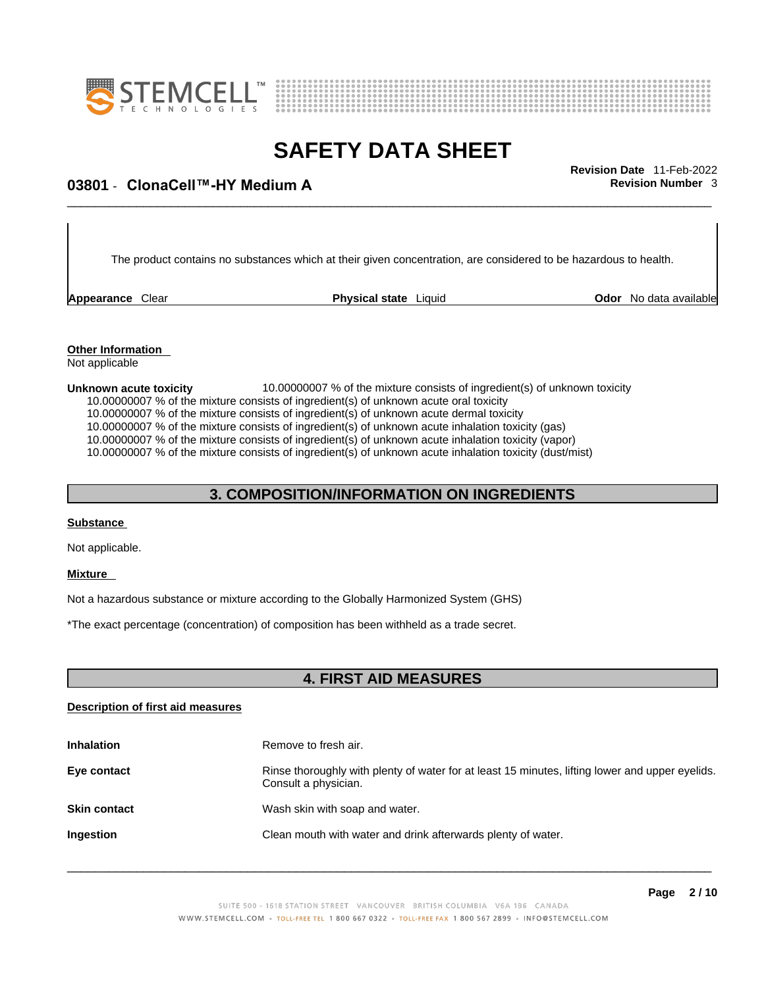



# \_\_\_\_\_\_\_\_\_\_\_\_\_\_\_\_\_\_\_\_\_\_\_\_\_\_\_\_\_\_\_\_\_\_\_\_\_\_\_\_\_\_\_\_\_\_\_\_\_\_\_\_\_\_\_\_\_\_\_\_\_\_\_\_\_\_\_\_\_\_\_\_\_\_\_\_\_\_\_\_\_\_\_\_\_\_\_\_\_\_\_\_\_ **Revision Date** 11-Feb-2022 **03801** - **ClonaCell™-HY Medium A Revision Number** 3

The product contains no substances which at their given concentration, are considered to be hazardous to health.

**Appearance** Clear **Physical state** Liquid

**Odor** No data available

**Other Information**  Not applicable

**Unknown acute toxicity** 10.00000007 % of the mixture consists of ingredient(s) of unknown toxicity 10.00000007 % of the mixture consists of ingredient(s) of unknown acute oral toxicity 10.00000007 % of the mixture consists of ingredient(s) of unknown acute dermal toxicity

10.00000007 % of the mixture consists of ingredient(s) of unknown acute inhalation toxicity (gas)

10.00000007 % of the mixture consists of ingredient(s) ofunknown acute inhalation toxicity (vapor)

10.00000007 % of the mixture consists of ingredient(s) of unknown acute inhalation toxicity (dust/mist)

# **3. COMPOSITION/INFORMATION ON INGREDIENTS**

### **Substance**

Not applicable.

### **Mixture**

Not a hazardous substance or mixture according to the Globally Harmonized System (GHS)

\*The exact percentage (concentration) of composition has been withheld as a trade secret.

# **4. FIRST AID MEASURES**

### **Description of first aid measures**

| <b>Inhalation</b>   | Remove to fresh air.                                                                                                    |
|---------------------|-------------------------------------------------------------------------------------------------------------------------|
| Eye contact         | Rinse thoroughly with plenty of water for at least 15 minutes, lifting lower and upper eyelids.<br>Consult a physician. |
| <b>Skin contact</b> | Wash skin with soap and water.                                                                                          |
| Ingestion           | Clean mouth with water and drink afterwards plenty of water.                                                            |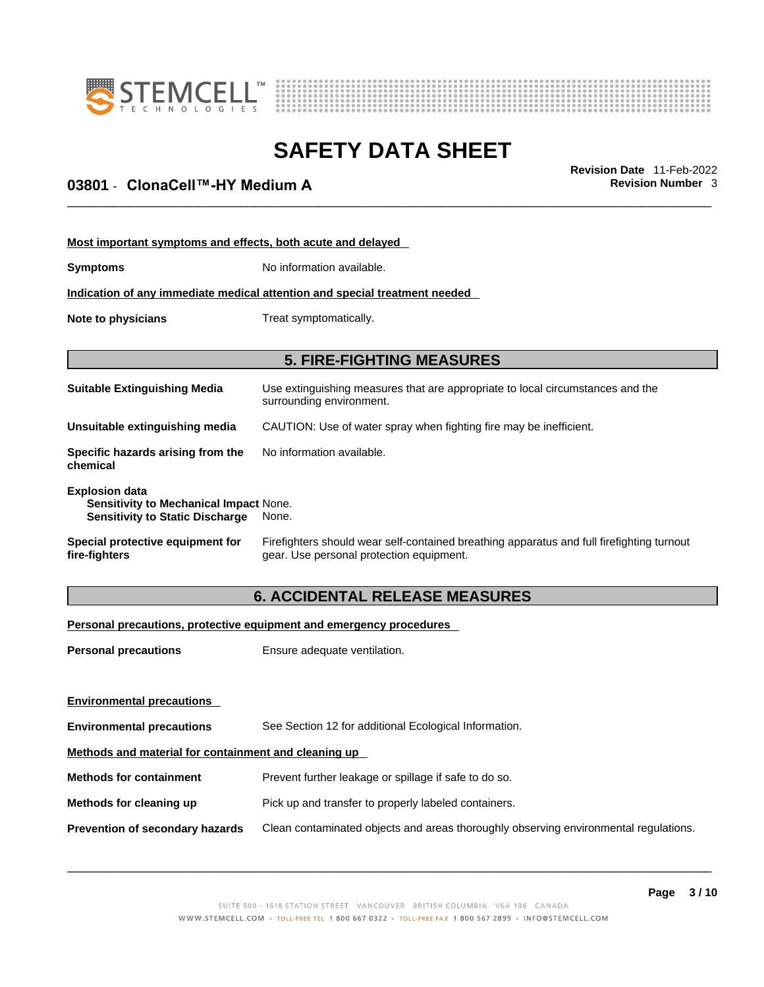



# \_\_\_\_\_\_\_\_\_\_\_\_\_\_\_\_\_\_\_\_\_\_\_\_\_\_\_\_\_\_\_\_\_\_\_\_\_\_\_\_\_\_\_\_\_\_\_\_\_\_\_\_\_\_\_\_\_\_\_\_\_\_\_\_\_\_\_\_\_\_\_\_\_\_\_\_\_\_\_\_\_\_\_\_\_\_\_\_\_\_\_\_\_ **Revision Date** 11-Feb-2022 **03801** - **ClonaCell™-HY Medium A Revision Number** 3

| Most important symptoms and effects, both acute and delayed                                                      |                                                                                                                                       |  |
|------------------------------------------------------------------------------------------------------------------|---------------------------------------------------------------------------------------------------------------------------------------|--|
| <b>Symptoms</b>                                                                                                  | No information available.                                                                                                             |  |
| Indication of any immediate medical attention and special treatment needed                                       |                                                                                                                                       |  |
| Note to physicians                                                                                               | Treat symptomatically.                                                                                                                |  |
|                                                                                                                  | <b>5. FIRE-FIGHTING MEASURES</b>                                                                                                      |  |
| <b>Suitable Extinguishing Media</b>                                                                              | Use extinguishing measures that are appropriate to local circumstances and the<br>surrounding environment.                            |  |
| Unsuitable extinguishing media                                                                                   | CAUTION: Use of water spray when fighting fire may be inefficient.                                                                    |  |
| Specific hazards arising from the<br>chemical                                                                    | No information available.                                                                                                             |  |
| <b>Explosion data</b><br><b>Sensitivity to Mechanical Impact None.</b><br><b>Sensitivity to Static Discharge</b> | None.                                                                                                                                 |  |
| Special protective equipment for<br>fire-fighters                                                                | Firefighters should wear self-contained breathing apparatus and full firefighting turnout<br>gear. Use personal protection equipment. |  |

# **6. ACCIDENTAL RELEASE MEASURES**

### **Personal precautions, protective equipment and emergency procedures**

| <b>Personal precautions</b>                          | Ensure adequate ventilation.                                                         |
|------------------------------------------------------|--------------------------------------------------------------------------------------|
| <b>Environmental precautions</b>                     |                                                                                      |
| <b>Environmental precautions</b>                     | See Section 12 for additional Ecological Information.                                |
| Methods and material for containment and cleaning up |                                                                                      |
| <b>Methods for containment</b>                       | Prevent further leakage or spillage if safe to do so.                                |
| Methods for cleaning up                              | Pick up and transfer to properly labeled containers.                                 |
| <b>Prevention of secondary hazards</b>               | Clean contaminated objects and areas thoroughly observing environmental regulations. |
|                                                      |                                                                                      |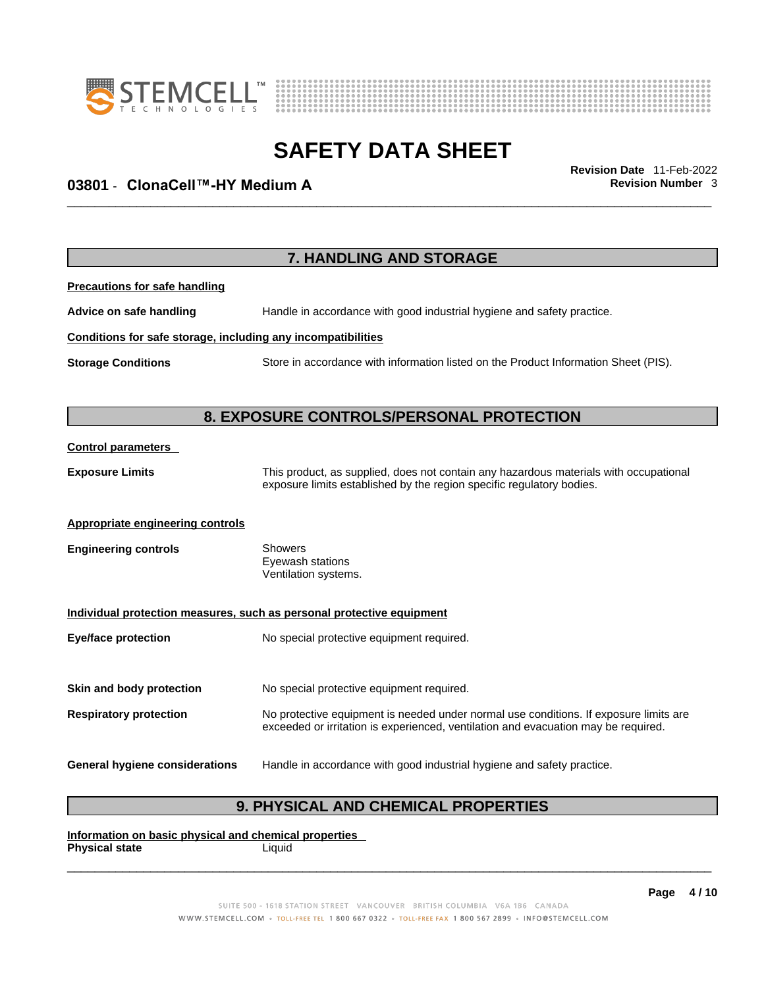



# \_\_\_\_\_\_\_\_\_\_\_\_\_\_\_\_\_\_\_\_\_\_\_\_\_\_\_\_\_\_\_\_\_\_\_\_\_\_\_\_\_\_\_\_\_\_\_\_\_\_\_\_\_\_\_\_\_\_\_\_\_\_\_\_\_\_\_\_\_\_\_\_\_\_\_\_\_\_\_\_\_\_\_\_\_\_\_\_\_\_\_\_\_ **Revision Date** 11-Feb-2022 **03801** - **ClonaCell™-HY Medium A Revision Number** 3

|                                                              | 7. HANDLING AND STORAGE                                                                                                                                                     |
|--------------------------------------------------------------|-----------------------------------------------------------------------------------------------------------------------------------------------------------------------------|
| <b>Precautions for safe handling</b>                         |                                                                                                                                                                             |
| Advice on safe handling                                      | Handle in accordance with good industrial hygiene and safety practice.                                                                                                      |
| Conditions for safe storage, including any incompatibilities |                                                                                                                                                                             |
| <b>Storage Conditions</b>                                    | Store in accordance with information listed on the Product Information Sheet (PIS).                                                                                         |
|                                                              | <b>8. EXPOSURE CONTROLS/PERSONAL PROTECTION</b>                                                                                                                             |
| <b>Control parameters</b>                                    |                                                                                                                                                                             |
| <b>Exposure Limits</b>                                       | This product, as supplied, does not contain any hazardous materials with occupational<br>exposure limits established by the region specific regulatory bodies.              |
| <b>Appropriate engineering controls</b>                      |                                                                                                                                                                             |
| <b>Engineering controls</b>                                  | Showers<br>Eyewash stations<br>Ventilation systems.                                                                                                                         |
|                                                              | Individual protection measures, such as personal protective equipment                                                                                                       |
| <b>Eye/face protection</b>                                   | No special protective equipment required.                                                                                                                                   |
| Skin and body protection                                     | No special protective equipment required.                                                                                                                                   |
| <b>Respiratory protection</b>                                | No protective equipment is needed under normal use conditions. If exposure limits are<br>exceeded or irritation is experienced, ventilation and evacuation may be required. |
| <b>General hygiene considerations</b>                        | Handle in accordance with good industrial hygiene and safety practice.                                                                                                      |

# **9. PHYSICAL AND CHEMICAL PROPERTIES**

**Information on basic physical and chemical properties Physical state** Liquid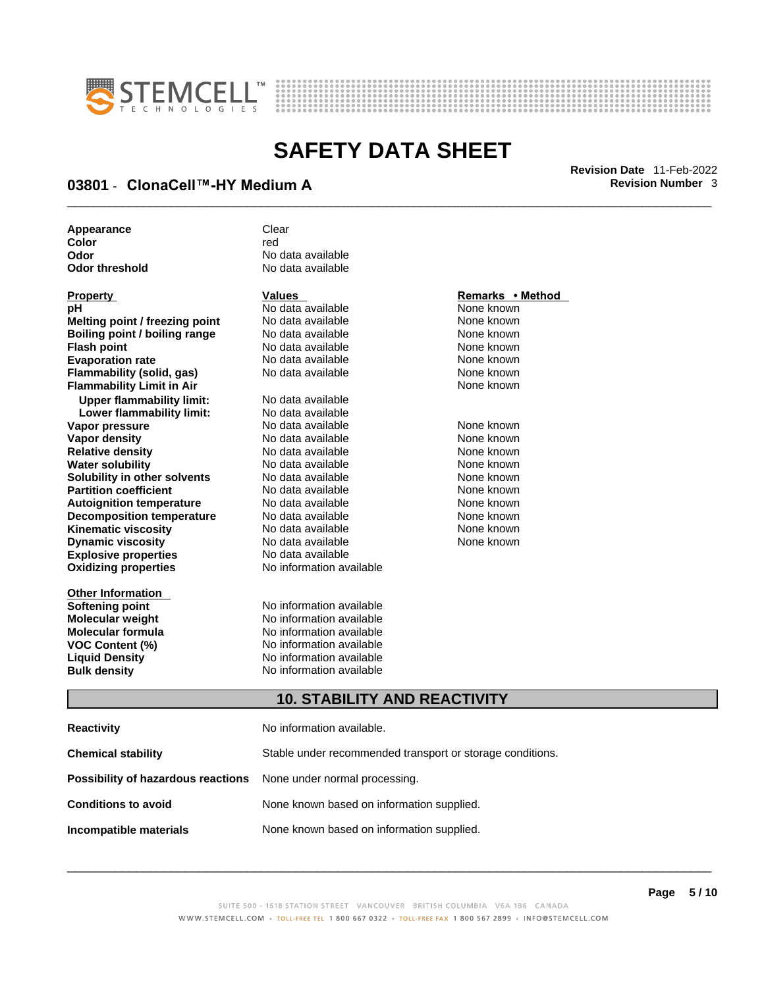



# \_\_\_\_\_\_\_\_\_\_\_\_\_\_\_\_\_\_\_\_\_\_\_\_\_\_\_\_\_\_\_\_\_\_\_\_\_\_\_\_\_\_\_\_\_\_\_\_\_\_\_\_\_\_\_\_\_\_\_\_\_\_\_\_\_\_\_\_\_\_\_\_\_\_\_\_\_\_\_\_\_\_\_\_\_\_\_\_\_\_\_\_\_ **Revision Date** 11-Feb-2022 **03801** - **ClonaCell™-HY Medium A Revision Number** 3

| Appearance     | Clear             |
|----------------|-------------------|
| Color          | red               |
| Odor           | No data available |
| Odor threshold | No data available |

| Property                             |
|--------------------------------------|
| рH                                   |
| Melting point / freezing point       |
| <b>Boiling point / boiling range</b> |
| <b>Flash point</b>                   |
| <b>Evaporation rate</b>              |
| Flammability (solid, gas)            |
| <b>Flammability Limit in Air</b>     |
| <b>Upper flammability limit:</b>     |
| Lower flammability limit:            |
| Vapor pressure                       |
| <b>Vapor density</b>                 |
| <b>Relative density</b>              |
| Water solubility                     |
| Solubility in other solvents         |
| <b>Partition coefficient</b>         |
| <b>Autoignition temperature</b>      |
| <b>Decomposition temperature</b>     |
| Kinematic viscosity                  |
| <b>Dynamic viscosity</b>             |
| <b>Explosive properties</b>          |
| <b>Oxidizing properties</b>          |
|                                      |

**Other Information** 

**No data available** None known **No data available None known Roidata available 1999 Mone known**<br> **Boiling** None known<br> **Roidata available None known No data available Evaporation No data available None known**<br> **Evaporation** None known<br>
None known **No data available** 

**Explosive properties** No data available **Oxidizing properties** No information available **No data available Lower flammability limit:** No data available **Vapora Available None known**<br> **Pressure No data available None known**<br>
None known **Vapor density Available** None known<br>
No data available None known **No data available No data available None known Solution Islam in Solution None known** None known **Partition Partition Coefficient Coefficient Coefficient Coefficient Coefficient Coefficient Coefficient Coefficient Coefficient Coefficient Coefficient Coefficient Coefficient Coefficient C Automische Munder None known**<br> **Automische None known**<br>
None known **No data available** No data available **None known** No data available None known

**Softening point**<br> **Molecular weight**<br> **Molecular weight**<br> **Molecular weight**<br> **Molecular weight No information available Molecular formula** No information available **VOC Content (%)**<br>
Liquid Density<br>
No information available<br>
No information available **No information available Bulk density No information available** 

### **Property Values Remarks • Method**

**None known** 

### **10. STABILITY AND REACTIVITY**

| Reactivity                                                              | No information available.                                 |
|-------------------------------------------------------------------------|-----------------------------------------------------------|
| Chemical stability                                                      | Stable under recommended transport or storage conditions. |
| <b>Possibility of hazardous reactions</b> None under normal processing. |                                                           |
| <b>Conditions to avoid</b>                                              | None known based on information supplied.                 |
| Incompatible materials                                                  | None known based on information supplied.                 |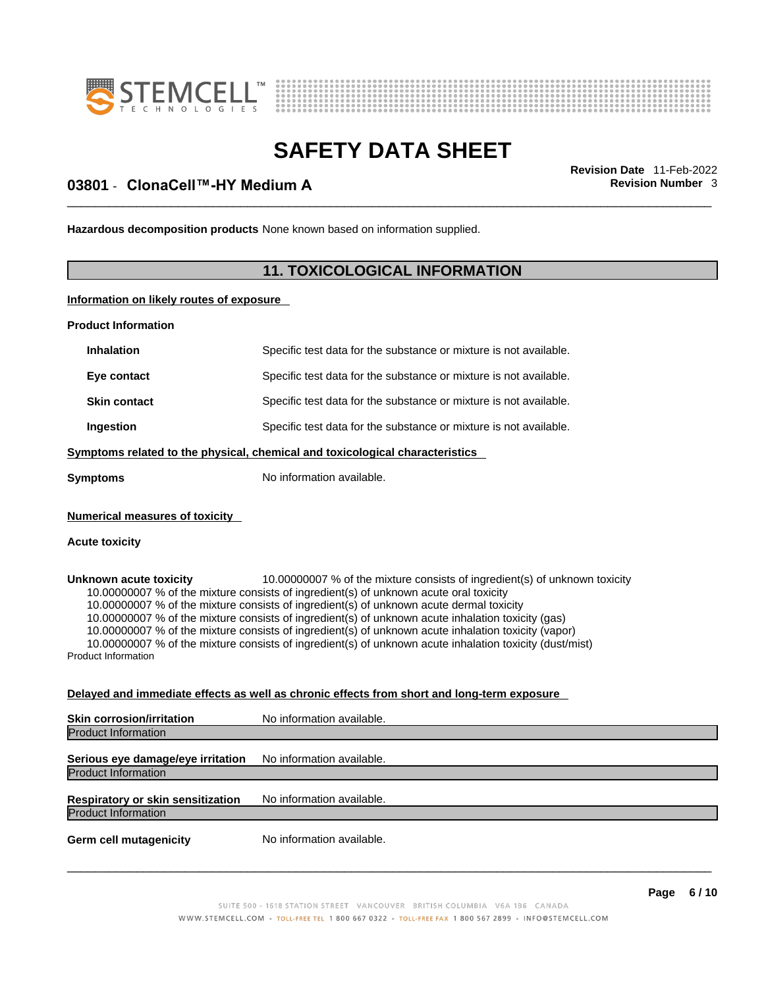



# \_\_\_\_\_\_\_\_\_\_\_\_\_\_\_\_\_\_\_\_\_\_\_\_\_\_\_\_\_\_\_\_\_\_\_\_\_\_\_\_\_\_\_\_\_\_\_\_\_\_\_\_\_\_\_\_\_\_\_\_\_\_\_\_\_\_\_\_\_\_\_\_\_\_\_\_\_\_\_\_\_\_\_\_\_\_\_\_\_\_\_\_\_ **Revision Date** 11-Feb-2022 **03801** - **ClonaCell™-HY Medium A Revision Number** 3

**Hazardous decomposition products** None known based on information supplied.

# **11. TOXICOLOGICAL INFORMATION**

**Information on likely routes of exposure**

**Product Information**

| <b>Inhalation</b>   | Specific test data for the substance or mixture is not available.            |
|---------------------|------------------------------------------------------------------------------|
| Eye contact         | Specific test data for the substance or mixture is not available.            |
| <b>Skin contact</b> | Specific test data for the substance or mixture is not available.            |
| Ingestion           | Specific test data for the substance or mixture is not available.            |
|                     | Symptoms related to the physical, chemical and toxicological characteristics |
| <b>Symptoms</b>     | No information available.                                                    |

**Numerical measures of toxicity**

#### **Acute toxicity**

**Unknown acute toxicity** 10.00000007 % of the mixture consists of ingredient(s) of unknown toxicity 10.00000007 % of the mixture consists of ingredient(s) of unknown acute oral toxicity 10.00000007 % of the mixture consists of ingredient(s) of unknown acute dermal toxicity 10.00000007 % of the mixture consists of ingredient(s) ofunknown acute inhalation toxicity (gas) 10.00000007 % of the mixture consists of ingredient(s) ofunknown acute inhalation toxicity (vapor)

10.00000007 % of the mixture consists of ingredient(s) of unknown acute inhalation toxicity (dust/mist) Product Information

# **Delayed and immediate effects as well as chronic effects from short and long-term exposure**

| <b>Skin corrosion/irritation</b>                                | No information available. |
|-----------------------------------------------------------------|---------------------------|
| <b>Product Information</b>                                      |                           |
| Serious eye damage/eye irritation                               | No information available. |
| <b>Product Information</b>                                      |                           |
| Respiratory or skin sensitization<br><b>Product Information</b> | No information available. |
| <b>Germ cell mutagenicity</b>                                   | No information available. |
|                                                                 |                           |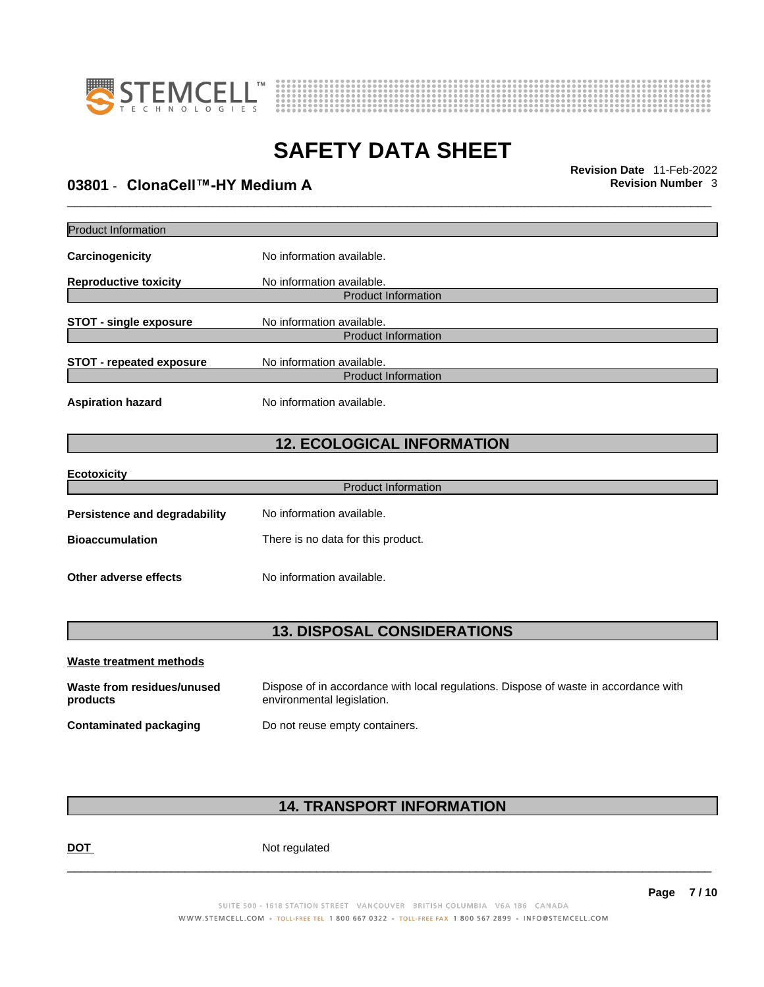



\_\_\_\_\_\_\_\_\_\_\_\_\_\_\_\_\_\_\_\_\_\_\_\_\_\_\_\_\_\_\_\_\_\_\_\_\_\_\_\_\_\_\_\_\_\_\_\_\_\_\_\_\_\_\_\_\_\_\_\_\_\_\_\_\_\_\_\_\_\_\_\_\_\_\_\_\_\_\_\_\_\_\_\_\_\_\_\_\_\_\_\_\_ **Revision Date** 11-Feb-2022 **03801** - **ClonaCell™-HY Medium A Revision Number** 3

| <b>Product Information</b>         |                                    |  |
|------------------------------------|------------------------------------|--|
| <b>Carcinogenicity</b>             | No information available.          |  |
| <b>Reproductive toxicity</b>       | No information available.          |  |
|                                    | <b>Product Information</b>         |  |
| <b>STOT - single exposure</b>      | No information available.          |  |
|                                    | <b>Product Information</b>         |  |
| <b>STOT - repeated exposure</b>    | No information available.          |  |
|                                    | <b>Product Information</b>         |  |
| <b>Aspiration hazard</b>           | No information available.          |  |
|                                    | <b>12. ECOLOGICAL INFORMATION</b>  |  |
|                                    |                                    |  |
| <b>Ecotoxicity</b>                 | <b>Product Information</b>         |  |
|                                    |                                    |  |
| Persistence and degradability      | No information available.          |  |
| <b>Bioaccumulation</b>             | There is no data for this product. |  |
| Other adverse effects              | No information available.          |  |
|                                    |                                    |  |
| <b>13. DISPOSAL CONSIDERATIONS</b> |                                    |  |
| Waste treatment methods            |                                    |  |

| Waste from residues/unused | Dispose of in accordance with local regulations. Dispose of waste in accordance with |
|----------------------------|--------------------------------------------------------------------------------------|
| products                   | environmental legislation.                                                           |
| Contaminated packaging     | Do not reuse empty containers.                                                       |

# **14. TRANSPORT INFORMATION**

DOT Not regulated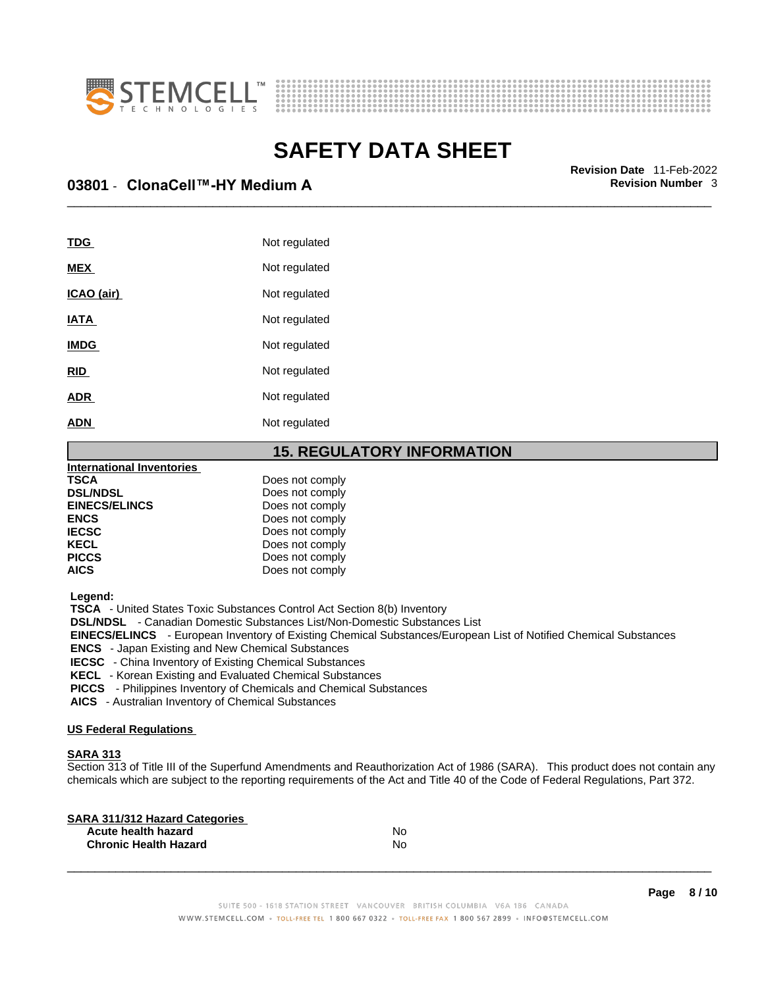



\_\_\_\_\_\_\_\_\_\_\_\_\_\_\_\_\_\_\_\_\_\_\_\_\_\_\_\_\_\_\_\_\_\_\_\_\_\_\_\_\_\_\_\_\_\_\_\_\_\_\_\_\_\_\_\_\_\_\_\_\_\_\_\_\_\_\_\_\_\_\_\_\_\_\_\_\_\_\_\_\_\_\_\_\_\_\_\_\_\_\_\_\_ **Revision Date** 11-Feb-2022 **03801** - **ClonaCell™-HY Medium A Revision Number** 3

| TDG         | Not regulated |
|-------------|---------------|
| <b>MEX</b>  | Not regulated |
| ICAO (air)  | Not regulated |
| <b>IATA</b> | Not regulated |
| <b>IMDG</b> | Not regulated |
| <b>RID</b>  | Not regulated |
| <b>ADR</b>  | Not regulated |
| <b>ADN</b>  | Not regulated |
|             |               |

### **15. REGULATORY INFORMATION**

| International Inventories |                 |  |
|---------------------------|-----------------|--|
| <b>TSCA</b>               | Does not comply |  |
| <b>DSL/NDSL</b>           | Does not comply |  |
| <b>EINECS/ELINCS</b>      | Does not comply |  |
| <b>ENCS</b>               | Does not comply |  |
| <b>IECSC</b>              | Does not comply |  |
| <b>KECL</b>               | Does not comply |  |
| <b>PICCS</b>              | Does not comply |  |
| <b>AICS</b>               | Does not comply |  |
|                           |                 |  |

 **Legend:** 

 **TSCA** - United States Toxic Substances Control Act Section 8(b) Inventory

 **DSL/NDSL** - Canadian Domestic Substances List/Non-Domestic Substances List

 **EINECS/ELINCS** - European Inventory of Existing Chemical Substances/European List of Notified Chemical Substances

 **ENCS** - Japan Existing and New Chemical Substances

 **IECSC** - China Inventory of Existing Chemical Substances

 **KECL** - Korean Existing and Evaluated Chemical Substances

 **PICCS** - Philippines Inventory of Chemicals and Chemical Substances

 **AICS** - Australian Inventory of Chemical Substances

### **US Federal Regulations**

### **SARA 313**

Section 313 of Title III of the Superfund Amendments and Reauthorization Act of 1986 (SARA). This product does not contain any chemicals which are subject to the reporting requirements of the Act and Title 40 of the Code of Federal Regulations, Part 372.

| No |  |
|----|--|
| N٥ |  |
|    |  |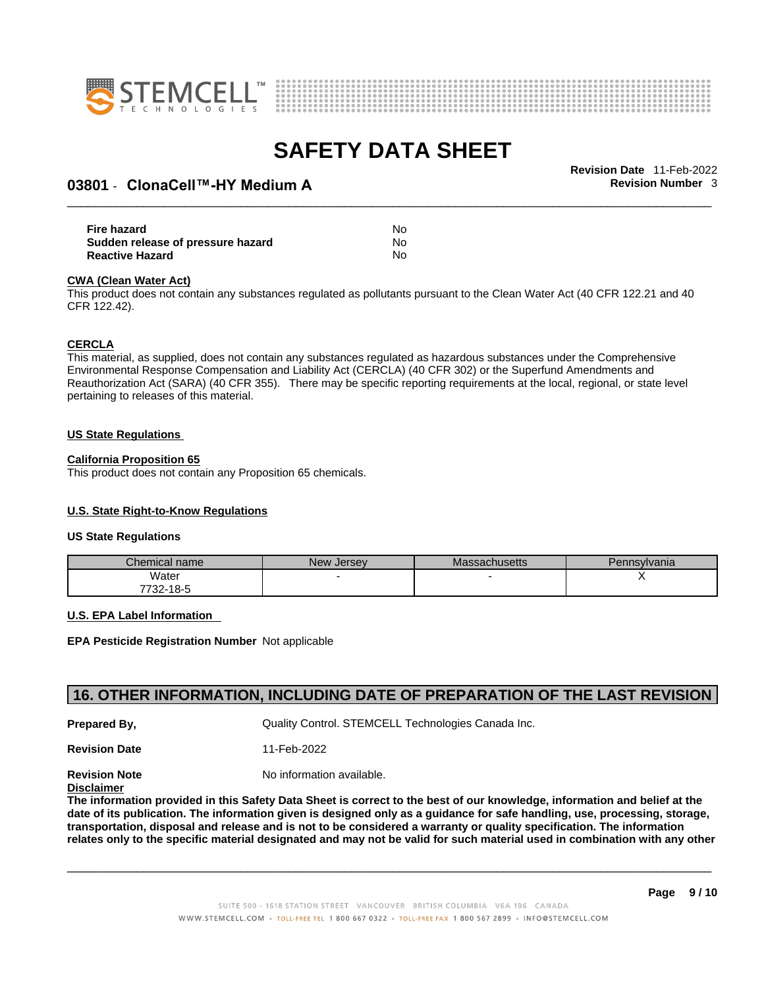



# \_\_\_\_\_\_\_\_\_\_\_\_\_\_\_\_\_\_\_\_\_\_\_\_\_\_\_\_\_\_\_\_\_\_\_\_\_\_\_\_\_\_\_\_\_\_\_\_\_\_\_\_\_\_\_\_\_\_\_\_\_\_\_\_\_\_\_\_\_\_\_\_\_\_\_\_\_\_\_\_\_\_\_\_\_\_\_\_\_\_\_\_\_ **Revision Date** 11-Feb-2022 **03801** - **ClonaCell™-HY Medium A Revision Number** 3

| Fire hazard                       | No. |  |
|-----------------------------------|-----|--|
| Sudden release of pressure hazard | No. |  |
| <b>Reactive Hazard</b>            | No  |  |

#### **CWA** (Clean Water Act)

This product does not contain any substances regulated as pollutants pursuant to the Clean Water Act (40 CFR 122.21 and 40 CFR 122.42).

#### **CERCLA**

This material, as supplied, does not contain any substances regulated as hazardous substances under the Comprehensive Environmental Response Compensation and Liability Act (CERCLA) (40 CFR 302) or the Superfund Amendments and Reauthorization Act (SARA) (40 CFR 355). There may be specific reporting requirements at the local, regional, or state level pertaining to releases of this material.

#### **US State Regulations**

#### **California Proposition 65**

This product does not contain any Proposition 65 chemicals.

### **U.S. State Right-to-Know Regulations**

#### **US State Regulations**

| Chemical name     | New<br><b>Jersey</b> | <b>Massachusetts</b> | Pennsylvania |
|-------------------|----------------------|----------------------|--------------|
| Water             |                      |                      |              |
| 7700.<br>732-18-5 |                      |                      |              |

#### **U.S. EPA Label Information**

**EPA Pesticide Registration Number** Not applicable

## **16. OTHER INFORMATION, INCLUDING DATE OF PREPARATION OF THE LAST REVISION**

**Prepared By, Cuality Control. STEMCELL Technologies Canada Inc.** 

**Revision Date** 11-Feb-2022

**Revision Note** Noinformation available.

### **Disclaimer**

The information provided in this Safety Data Sheet is correct to the best of our knowledge, information and belief at the date of its publication. The information given is designed only as a guidance for safe handling, use, processing, storage, transportation, disposal and release and is not to be considered a warranty or quality specification. The information relates only to the specific material designated and may not be valid for such material used in combination with any other